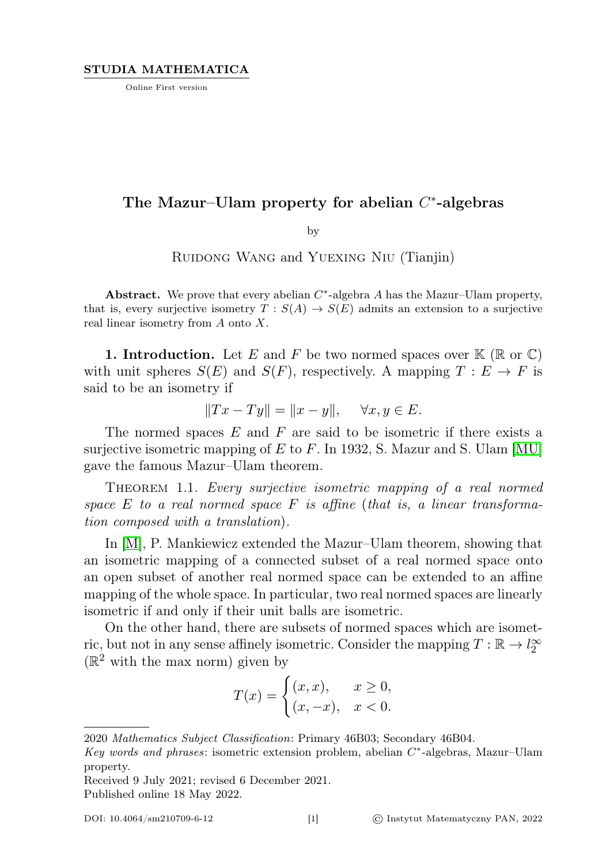Online First version

## The Mazur-Ulam property for abelian  $C^*$ -algebras

by

Ruidong Wang and Yuexing Niu (Tianjin)

Abstract. We prove that every abelian  $C^*$ -algebra A has the Mazur–Ulam property, that is, every surjective isometry  $T : S(A) \to S(E)$  admits an extension to a surjective real linear isometry from A onto X.

**1. Introduction.** Let E and F be two normed spaces over  $\mathbb{K}(\mathbb{R} \text{ or } \mathbb{C})$ with unit spheres  $S(E)$  and  $S(F)$ , respectively. A mapping  $T : E \to F$  is said to be an isometry if

$$
||Tx - Ty|| = ||x - y||, \quad \forall x, y \in E.
$$

The normed spaces  $E$  and  $F$  are said to be isometric if there exists a surjective isometric mapping of E to F. In 1932, S. Mazur and S. Ulam [\[MU\]](#page-14-0) gave the famous Mazur–Ulam theorem.

THEOREM 1.1. Every surjective isometric mapping of a real normed space E to a real normed space F is affine (that is, a linear transformation composed with a translation).

In [\[M\]](#page-14-1), P. Mankiewicz extended the Mazur–Ulam theorem, showing that an isometric mapping of a connected subset of a real normed space onto an open subset of another real normed space can be extended to an affine mapping of the whole space. In particular, two real normed spaces are linearly isometric if and only if their unit balls are isometric.

On the other hand, there are subsets of normed spaces which are isometric, but not in any sense affinely isometric. Consider the mapping  $T : \mathbb{R} \to l_2^{\infty}$  $(\mathbb{R}^2$  with the max norm) given by

$$
T(x) = \begin{cases} (x, x), & x \ge 0, \\ (x, -x), & x < 0. \end{cases}
$$

<sup>2020</sup> Mathematics Subject Classification: Primary 46B03; Secondary 46B04.

Key words and phrases: isometric extension problem, abelian  $C^*$ -algebras, Mazur-Ulam property.

Received 9 July 2021; revised 6 December 2021. Published online 18 May 2022.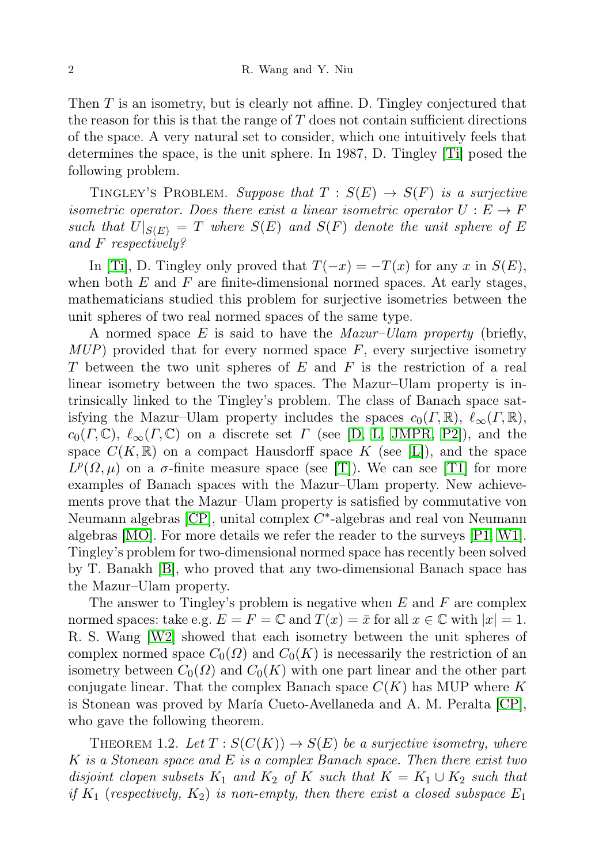Then  $T$  is an isometry, but is clearly not affine. D. Tingley conjectured that the reason for this is that the range of  $T$  does not contain sufficient directions of the space. A very natural set to consider, which one intuitively feels that determines the space, is the unit sphere. In 1987, D. Tingley [\[Ti\]](#page-14-2) posed the following problem.

TINGLEY'S PROBLEM. Suppose that  $T : S(E) \rightarrow S(F)$  is a surjective isometric operator. Does there exist a linear isometric operator  $U : E \to F$ such that  $U|_{S(E)} = T$  where  $S(E)$  and  $S(F)$  denote the unit sphere of E and F respectively?

In [\[Ti\]](#page-14-2), D. Tingley only proved that  $T(-x) = -T(x)$  for any x in  $S(E)$ , when both  $E$  and  $F$  are finite-dimensional normed spaces. At early stages, mathematicians studied this problem for surjective isometries between the unit spheres of two real normed spaces of the same type.

A normed space  $E$  is said to have the *Mazur–Ulam property* (briefly,  $MUP$ ) provided that for every normed space F, every surjective isometry T between the two unit spheres of  $E$  and  $F$  is the restriction of a real linear isometry between the two spaces. The Mazur–Ulam property is intrinsically linked to the Tingley's problem. The class of Banach space satisfying the Mazur–Ulam property includes the spaces  $c_0(\Gamma, \mathbb{R}), \ell_\infty(\Gamma, \mathbb{R}),$  $c_0(\Gamma, \mathbb{C}), \ell_\infty(\Gamma, \mathbb{C})$  on a discrete set  $\Gamma$  (see [\[D,](#page-13-0) [L,](#page-14-3) [JMPR,](#page-14-4) [P2\]](#page-14-5)), and the space  $C(K,\mathbb{R})$  on a compact Hausdorff space K (see [\[L\]](#page-14-3)), and the space  $L^p(\Omega,\mu)$  on a  $\sigma$ -finite measure space (see [\[T\]](#page-14-6)). We can see [\[T1\]](#page-14-7) for more examples of Banach spaces with the Mazur–Ulam property. New achievements prove that the Mazur–Ulam property is satisfied by commutative von Neumann algebras  $[CP]$ , unital complex  $C^*$ -algebras and real von Neumann algebras [\[MO\]](#page-14-8). For more details we refer the reader to the surveys [\[P1,](#page-14-9) [W1\]](#page-14-10). Tingley's problem for two-dimensional normed space has recently been solved by T. Banakh [\[B\]](#page-13-2), who proved that any two-dimensional Banach space has the Mazur–Ulam property.

The answer to Tingley's problem is negative when  $E$  and  $F$  are complex normed spaces: take e.g.  $E = F = \mathbb{C}$  and  $T(x) = \bar{x}$  for all  $x \in \mathbb{C}$  with  $|x| = 1$ . R. S. Wang [\[W2\]](#page-14-11) showed that each isometry between the unit spheres of complex normed space  $C_0(\Omega)$  and  $C_0(K)$  is necessarily the restriction of an isometry between  $C_0(\Omega)$  and  $C_0(K)$  with one part linear and the other part conjugate linear. That the complex Banach space  $C(K)$  has MUP where K is Stonean was proved by María Cueto-Avellaneda and A. M. Peralta [\[CP\]](#page-13-1), who gave the following theorem.

THEOREM 1.2. Let  $T: S(C(K)) \to S(E)$  be a surjective isometry, where K is a Stonean space and E is a complex Banach space. Then there exist two disjoint clopen subsets  $K_1$  and  $K_2$  of K such that  $K = K_1 \cup K_2$  such that if  $K_1$  (respectively,  $K_2$ ) is non-empty, then there exist a closed subspace  $E_1$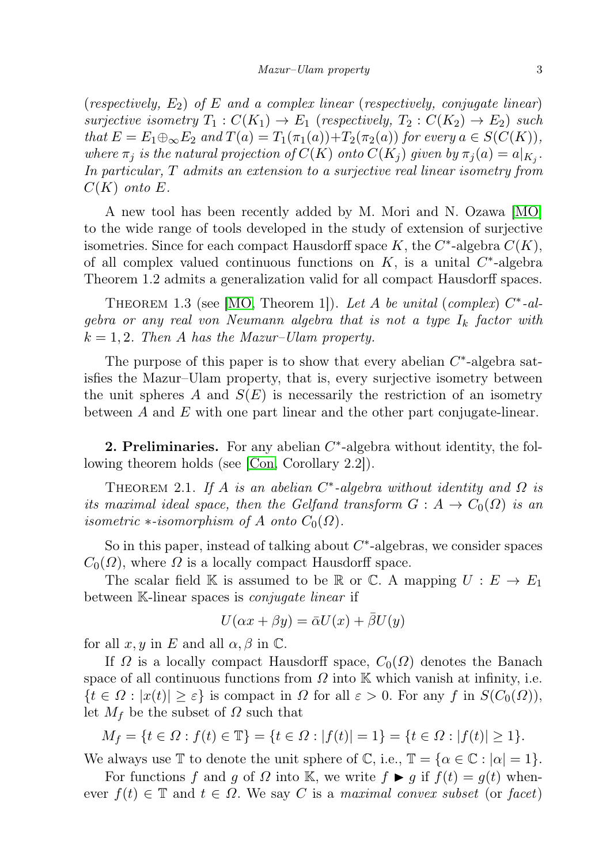(respectively,  $E_2$ ) of E and a complex linear (respectively, conjugate linear) surjective isometry  $T_1: C(K_1) \to E_1$  (respectively,  $T_2: C(K_2) \to E_2$ ) such that  $E = E_1 \oplus_{\infty} E_2$  and  $T(a) = T_1(\pi_1(a)) + T_2(\pi_2(a))$  for every  $a \in S(C(K))$ , where  $\pi_j$  is the natural projection of  $C(K)$  onto  $C(K_j)$  given by  $\pi_j(a) = a|_{K_j}$ . In particular, T admits an extension to a surjective real linear isometry from  $C(K)$  onto E.

A new tool has been recently added by M. Mori and N. Ozawa [\[MO\]](#page-14-8) to the wide range of tools developed in the study of extension of surjective isometries. Since for each compact Hausdorff space  $K$ , the  $C^*$ -algebra  $C(K)$ , of all complex valued continuous functions on  $K$ , is a unital  $C^*$ -algebra Theorem 1.2 admits a generalization valid for all compact Hausdorff spaces.

THEOREM 1.3 (see [\[MO,](#page-14-8) Theorem 1]). Let A be unital (complex)  $C^*$ -algebra or any real von Neumann algebra that is not a type  $I_k$  factor with  $k = 1, 2$ . Then A has the Mazur–Ulam property.

The purpose of this paper is to show that every abelian  $C^*$ -algebra satisfies the Mazur–Ulam property, that is, every surjective isometry between the unit spheres A and  $S(E)$  is necessarily the restriction of an isometry between A and E with one part linear and the other part conjugate-linear.

2. Preliminaries. For any abelian  $C^*$ -algebra without identity, the following theorem holds (see [\[Con,](#page-13-3) Corollary 2.2]).

THEOREM 2.1. If A is an abelian  $C^*$ -algebra without identity and  $\Omega$  is its maximal ideal space, then the Gelfand transform  $G: A \to C_0(\Omega)$  is an isometric  $\ast$ -isomorphism of A onto  $C_0(\Omega)$ .

So in this paper, instead of talking about  $C^*$ -algebras, we consider spaces  $C_0(\Omega)$ , where  $\Omega$  is a locally compact Hausdorff space.

The scalar field K is assumed to be R or C. A mapping  $U : E \to E_1$ between K-linear spaces is *conjugate linear* if

$$
U(\alpha x + \beta y) = \bar{\alpha}U(x) + \bar{\beta}U(y)
$$

for all  $x, y$  in E and all  $\alpha, \beta$  in C.

If  $\Omega$  is a locally compact Hausdorff space,  $C_0(\Omega)$  denotes the Banach space of all continuous functions from  $\Omega$  into K which vanish at infinity, i.e.  $\{t \in \Omega : |x(t)| \geq \varepsilon\}$  is compact in  $\Omega$  for all  $\varepsilon > 0$ . For any f in  $S(C_0(\Omega)),$ let  $M_f$  be the subset of  $\Omega$  such that

$$
M_f = \{ t \in \Omega : f(t) \in \mathbb{T} \} = \{ t \in \Omega : |f(t)| = 1 \} = \{ t \in \Omega : |f(t)| \ge 1 \}.
$$

We always use  $\mathbb T$  to denote the unit sphere of  $\mathbb C$ , i.e.,  $\mathbb T = {\alpha \in \mathbb C : |\alpha| = 1}.$ 

For functions f and g of  $\Omega$  into K, we write  $f \triangleright g$  if  $f(t) = g(t)$  whenever  $f(t) \in \mathbb{T}$  and  $t \in \Omega$ . We say C is a maximal convex subset (or facet)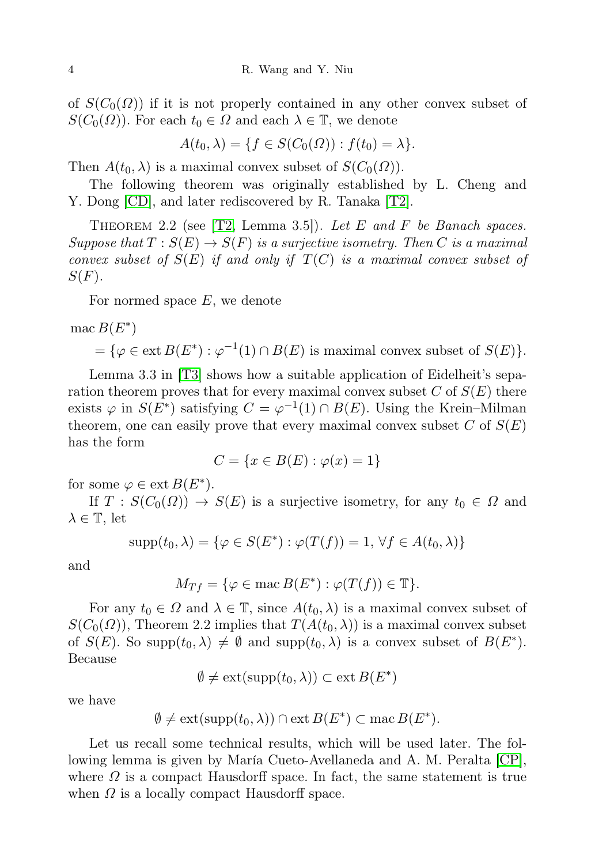of  $S(C_0(\Omega))$  if it is not properly contained in any other convex subset of  $S(C_0(\Omega))$ . For each  $t_0 \in \Omega$  and each  $\lambda \in \mathbb{T}$ , we denote

$$
A(t_0, \lambda) = \{ f \in S(C_0(\Omega)) : f(t_0) = \lambda \}.
$$

Then  $A(t_0, \lambda)$  is a maximal convex subset of  $S(C_0(\Omega))$ .

The following theorem was originally established by L. Cheng and Y. Dong  $|CD|$ , and later rediscovered by R. Tanaka  $|T2|$ .

THEOREM 2.2 (see  $[T2, \text{ Lemma } 3.5]$  $[T2, \text{ Lemma } 3.5]$ ). Let E and F be Banach spaces. Suppose that  $T : S(E) \to S(F)$  is a surjective isometry. Then C is a maximal convex subset of  $S(E)$  if and only if  $T(C)$  is a maximal convex subset of  $S(F)$ .

For normed space  $E$ , we denote

$$
\text{mac } B(E^*)
$$
  
=  $\{ \varphi \in \text{ext } B(E^*) : \varphi^{-1}(1) \cap B(E) \text{ is maximal convex subset of } S(E) \}.$ 

Lemma 3.3 in [\[T3\]](#page-14-13) shows how a suitable application of Eidelheit's separation theorem proves that for every maximal convex subset  $C$  of  $S(E)$  there exists  $\varphi$  in  $S(E^*)$  satisfying  $C = \varphi^{-1}(1) \cap B(E)$ . Using the Krein–Milman theorem, one can easily prove that every maximal convex subset C of  $S(E)$ has the form

$$
C = \{x \in B(E) : \varphi(x) = 1\}
$$

for some  $\varphi \in \text{ext } B(E^*)$ .

If  $T : S(C_0(\Omega)) \to S(E)$  is a surjective isometry, for any  $t_0 \in \Omega$  and  $\lambda \in \mathbb{T}$ , let

$$
supp(t_0, \lambda) = \{ \varphi \in S(E^*) : \varphi(T(f)) = 1, \forall f \in A(t_0, \lambda) \}
$$

and

$$
M_{Tf} = \{ \varphi \in \text{mac } B(E^*) : \varphi(T(f)) \in \mathbb{T} \}.
$$

For any  $t_0 \in \Omega$  and  $\lambda \in \mathbb{T}$ , since  $A(t_0, \lambda)$  is a maximal convex subset of  $S(C_0(\Omega))$ , Theorem 2.2 implies that  $T(A(t_0,\lambda))$  is a maximal convex subset of  $S(E)$ . So supp $(t_0, \lambda) \neq \emptyset$  and supp $(t_0, \lambda)$  is a convex subset of  $B(E^*)$ . Because

$$
\emptyset \neq \mathrm{ext}(\mathrm{supp}(t_0, \lambda)) \subset \mathrm{ext}\, B(E^*)
$$

we have

$$
\emptyset \neq ext(supp(t_0, \lambda)) \cap ext B(E^*) \subset mac B(E^*).
$$

Let us recall some technical results, which will be used later. The following lemma is given by María Cueto-Avellaneda and A. M. Peralta [\[CP\]](#page-13-1), where  $\Omega$  is a compact Hausdorff space. In fact, the same statement is true when  $\Omega$  is a locally compact Hausdorff space.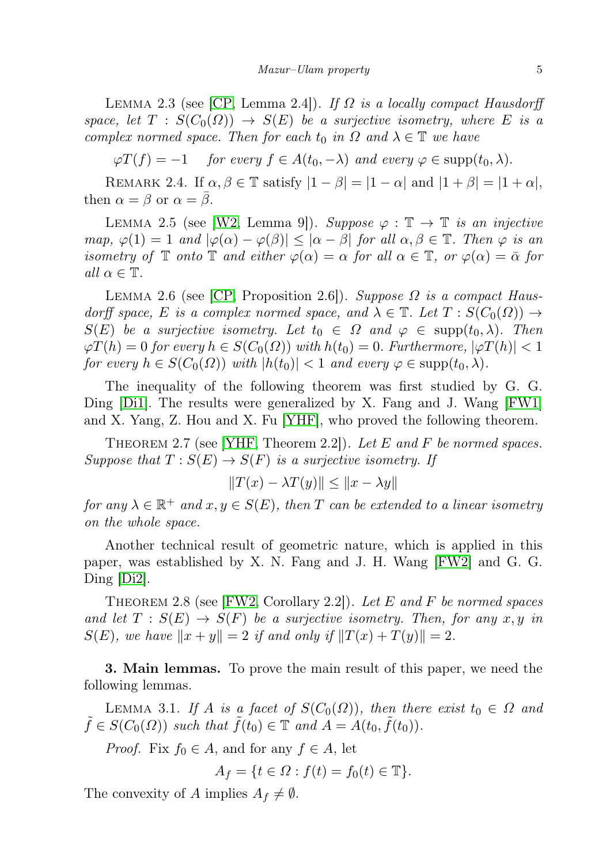LEMMA 2.3 (see [\[CP,](#page-13-1) Lemma 2.4]). If  $\Omega$  is a locally compact Hausdorff space, let  $T : S(C_0(\Omega)) \to S(E)$  be a surjective isometry, where E is a complex normed space. Then for each  $t_0$  in  $\Omega$  and  $\lambda \in \mathbb{T}$  we have

 $\varphi T(f) = -1$  for every  $f \in A(t_0, -\lambda)$  and every  $\varphi \in \text{supp}(t_0, \lambda)$ .

REMARK 2.4. If  $\alpha, \beta \in \mathbb{T}$  satisfy  $|1 - \beta| = |1 - \alpha|$  and  $|1 + \beta| = |1 + \alpha|$ , then  $\alpha = \beta$  or  $\alpha = \beta$ .

LEMMA 2.5 (see [\[W2,](#page-14-11) Lemma 9]). Suppose  $\varphi : \mathbb{T} \to \mathbb{T}$  is an injective map,  $\varphi(1) = 1$  and  $|\varphi(\alpha) - \varphi(\beta)| \leq |\alpha - \beta|$  for all  $\alpha, \beta \in \mathbb{T}$ . Then  $\varphi$  is an isometry of  $\mathbb T$  onto  $\mathbb T$  and either  $\varphi(\alpha) = \alpha$  for all  $\alpha \in \mathbb T$ , or  $\varphi(\alpha) = \overline{\alpha}$  for all  $\alpha \in \mathbb{T}$ .

LEMMA 2.6 (see [\[CP,](#page-13-1) Proposition 2.6]). Suppose  $\Omega$  is a compact Hausdorff space, E is a complex normed space, and  $\lambda \in \mathbb{T}$ . Let  $T : S(C_0(\Omega)) \to$  $S(E)$  be a surjective isometry. Let  $t_0 \in \Omega$  and  $\varphi \in \text{supp}(t_0, \lambda)$ . Then  $\varphi T(h) = 0$  for every  $h \in S(C_0(\Omega))$  with  $h(t_0) = 0$ . Furthermore,  $|\varphi T(h)| < 1$ for every  $h \in S(C_0(\Omega))$  with  $|h(t_0)| < 1$  and every  $\varphi \in \text{supp}(t_0, \lambda)$ .

The inequality of the following theorem was first studied by G. G. Ding [\[Di1\]](#page-13-5). The results were generalized by X. Fang and J. Wang [\[FW1\]](#page-13-6) and X. Yang, Z. Hou and X. Fu [\[YHF\]](#page-14-14), who proved the following theorem.

THEOREM 2.7 (see [\[YHF,](#page-14-14) Theorem 2.2]). Let E and F be normed spaces. Suppose that  $T : S(E) \to S(F)$  is a surjective isometry. If

$$
||T(x) - \lambda T(y)|| \le ||x - \lambda y||
$$

for any  $\lambda \in \mathbb{R}^+$  and  $x, y \in S(E)$ , then T can be extended to a linear isometry on the whole space.

Another technical result of geometric nature, which is applied in this paper, was established by X. N. Fang and J. H. Wang [\[FW2\]](#page-13-7) and G. G.  $\text{Ding}$   $\text{Di2}.$ 

THEOREM 2.8 (see [\[FW2,](#page-13-7) Corollary 2.2]). Let E and F be normed spaces and let  $T : S(E) \to S(F)$  be a surjective isometry. Then, for any x, y in  $S(E)$ , we have  $||x + y|| = 2$  if and only if  $||T(x) + T(y)|| = 2$ .

3. Main lemmas. To prove the main result of this paper, we need the following lemmas.

LEMMA 3.1. If A is a facet of  $S(C_0(\Omega))$ , then there exist  $t_0 \in \Omega$  and  $\tilde{f} \in S(C_0(\Omega))$  such that  $\tilde{f}(t_0) \in \mathbb{T}$  and  $A = A(t_0, \tilde{f}(t_0)).$ 

*Proof.* Fix  $f_0 \in A$ , and for any  $f \in A$ , let

$$
A_f = \{ t \in \Omega : f(t) = f_0(t) \in \mathbb{T} \}.
$$

The convexity of A implies  $A_f \neq \emptyset$ .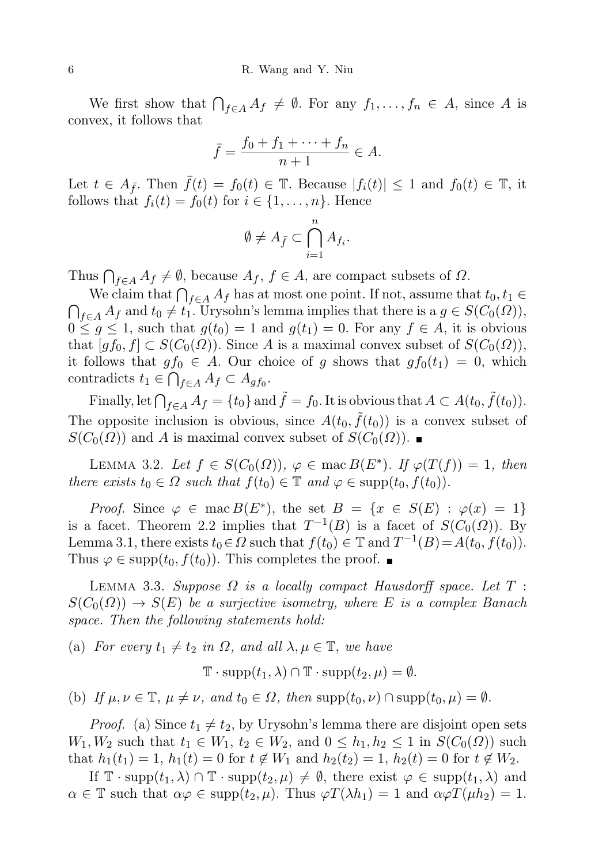We first show that  $\bigcap_{f\in A} A_f \neq \emptyset$ . For any  $f_1,\ldots,f_n \in A$ , since A is convex, it follows that

$$
\bar{f} = \frac{f_0 + f_1 + \dots + f_n}{n+1} \in A.
$$

Let  $t \in A_{\bar{f}}$ . Then  $\bar{f}(t) = f_0(t) \in \mathbb{T}$ . Because  $|f_i(t)| \leq 1$  and  $f_0(t) \in \mathbb{T}$ , it follows that  $f_i(t) = f_0(t)$  for  $i \in \{1, \ldots, n\}$ . Hence

$$
\emptyset \neq A_{\bar{f}} \subset \bigcap_{i=1}^n A_{f_i}.
$$

Thus  $\bigcap_{f\in A} A_f \neq \emptyset$ , because  $A_f$ ,  $f\in A$ , are compact subsets of  $\Omega$ .

We claim that  $\bigcap_{f\in A}A_f$  has at most one point. If not, assume that  $t_0, t_1\in$  $\bigcap_{f\in A} A_f$  and  $t_0 \neq t_1$ . Urysohn's lemma implies that there is a  $g\in S(C_0(\Omega)),$  $0 \leq g \leq 1$ , such that  $g(t_0) = 1$  and  $g(t_1) = 0$ . For any  $f \in A$ , it is obvious that  $[gf_0, f] \subset S(C_0(\Omega))$ . Since A is a maximal convex subset of  $S(C_0(\Omega))$ , it follows that  $gf_0 \in A$ . Our choice of g shows that  $gf_0(t_1) = 0$ , which contradicts  $t_1 \in \bigcap_{f \in A} A_f \subset A_{gf_0}$ .

Finally, let  $\bigcap_{f\in A}A_f = \{t_0\}$  and  $\tilde{f} = f_0$ . It is obvious that  $A\subset A(t_0,\tilde{f}(t_0))$ . The opposite inclusion is obvious, since  $A(t_0, \tilde{f}(t_0))$  is a convex subset of  $S(C_0(\Omega))$  and A is maximal convex subset of  $S(C_0(\Omega))$ .

LEMMA 3.2. Let  $f \in S(C_0(\Omega))$ ,  $\varphi \in \text{mac } B(E^*)$ . If  $\varphi(T(f)) = 1$ , then there exists  $t_0 \in \Omega$  such that  $f(t_0) \in \mathbb{T}$  and  $\varphi \in \text{supp}(t_0, f(t_0)).$ 

*Proof.* Since  $\varphi \in \text{mac } B(E^*)$ , the set  $B = \{x \in S(E) : \varphi(x) = 1\}$ is a facet. Theorem 2.2 implies that  $T^{-1}(B)$  is a facet of  $S(C_0(\Omega))$ . By Lemma 3.1, there exists  $t_0 \in \Omega$  such that  $f(t_0) \in \mathbb{T}$  and  $T^{-1}(B) = A(t_0, f(t_0)).$ Thus  $\varphi \in \text{supp}(t_0, f(t_0))$ . This completes the proof.

LEMMA 3.3. Suppose  $\Omega$  is a locally compact Hausdorff space. Let  $T$ :  $S(C_0(\Omega)) \to S(E)$  be a surjective isometry, where E is a complex Banach space. Then the following statements hold:

(a) For every  $t_1 \neq t_2$  in  $\Omega$ , and all  $\lambda, \mu \in \mathbb{T}$ , we have

 $\mathbb{T} \cdot \text{supp}(t_1, \lambda) \cap \mathbb{T} \cdot \text{supp}(t_2, \mu) = \emptyset.$ 

(b) If  $\mu, \nu \in \mathbb{T}$ ,  $\mu \neq \nu$ , and  $t_0 \in \Omega$ , then supp $(t_0, \nu) \cap \text{supp}(t_0, \mu) = \emptyset$ .

*Proof.* (a) Since  $t_1 \neq t_2$ , by Urysohn's lemma there are disjoint open sets  $W_1, W_2$  such that  $t_1 \in W_1, t_2 \in W_2$ , and  $0 \leq h_1, h_2 \leq 1$  in  $S(C_0(\Omega))$  such that  $h_1(t_1) = 1$ ,  $h_1(t) = 0$  for  $t \notin W_1$  and  $h_2(t_2) = 1$ ,  $h_2(t) = 0$  for  $t \notin W_2$ .

If  $\mathbb{T} \cdot \text{supp}(t_1, \lambda) \cap \mathbb{T} \cdot \text{supp}(t_2, \mu) \neq \emptyset$ , there exist  $\varphi \in \text{supp}(t_1, \lambda)$  and  $\alpha \in \mathbb{T}$  such that  $\alpha \varphi \in \text{supp}(t_2, \mu)$ . Thus  $\varphi T(\lambda h_1) = 1$  and  $\alpha \varphi T(\mu h_2) = 1$ .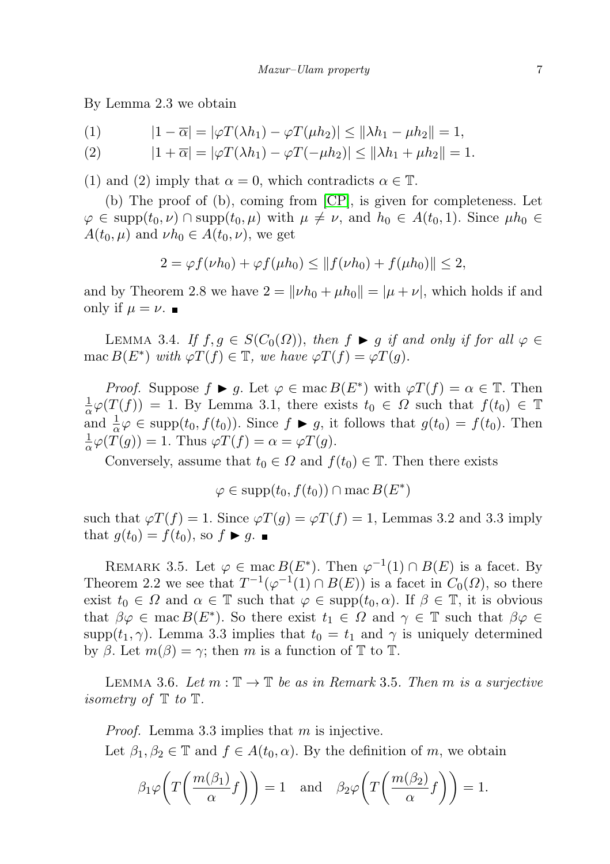By Lemma 2.3 we obtain

$$
(1) \qquad |1-\overline{\alpha}|=|\varphi T(\lambda h_1)-\varphi T(\mu h_2)|\leq ||\lambda h_1-\mu h_2||=1,
$$

$$
(2) \t\t |1+\overline{\alpha}|=|\varphi T(\lambda h_1)-\varphi T(-\mu h_2)|\leq ||\lambda h_1+\mu h_2||=1.
$$

(1) and (2) imply that  $\alpha = 0$ , which contradicts  $\alpha \in \mathbb{T}$ .

(b) The proof of (b), coming from [\[CP\]](#page-13-1), is given for completeness. Let  $\varphi \in \text{supp}(t_0, \nu) \cap \text{supp}(t_0, \mu)$  with  $\mu \neq \nu$ , and  $h_0 \in A(t_0, 1)$ . Since  $\mu h_0 \in$  $A(t_0,\mu)$  and  $\nu h_0 \in A(t_0,\nu)$ , we get

$$
2 = \varphi f(\nu h_0) + \varphi f(\mu h_0) \le ||f(\nu h_0) + f(\mu h_0)|| \le 2,
$$

and by Theorem 2.8 we have  $2 = ||\nu h_0 + \mu h_0|| = |\mu + \nu|$ , which holds if and only if  $\mu = \nu$ .

LEMMA 3.4. If  $f, g \in S(C_0(\Omega))$ , then  $f \blacktriangleright g$  if and only if for all  $\varphi \in$ mac  $B(E^*)$  with  $\varphi T(f) \in \mathbb{T}$ , we have  $\varphi T(f) = \varphi T(g)$ .

*Proof.* Suppose  $f \triangleright g$ . Let  $\varphi \in \text{mac } B(E^*)$  with  $\varphi T(f) = \alpha \in \mathbb{T}$ . Then 1  $\frac{1}{\alpha}\varphi(T(f)) = 1$ . By Lemma 3.1, there exists  $t_0 \in \Omega$  such that  $f(t_0) \in \mathbb{T}$ and  $\frac{1}{\alpha}\varphi \in \text{supp}(t_0, f(t_0))$ . Since  $f \blacktriangleright g$ , it follows that  $g(t_0) = f(t_0)$ . Then 1  $\frac{1}{\alpha}\varphi(T(g))=1.$  Thus  $\varphi T(f)=\alpha=\varphi T(g).$ 

Conversely, assume that  $t_0 \in \Omega$  and  $f(t_0) \in \mathbb{T}$ . Then there exists

$$
\varphi \in \mathrm{supp}(t_0, f(t_0)) \cap \mathrm{mac}\, B(E^*)
$$

such that  $\varphi T(f) = 1$ . Since  $\varphi T(g) = \varphi T(f) = 1$ , Lemmas 3.2 and 3.3 imply that  $g(t_0) = f(t_0)$ , so  $f \triangleright g$ .

REMARK 3.5. Let  $\varphi \in \text{mac } B(E^*)$ . Then  $\varphi^{-1}(1) \cap B(E)$  is a facet. By Theorem 2.2 we see that  $T^{-1}(\varphi^{-1}(1) \cap B(E))$  is a facet in  $C_0(\Omega)$ , so there exist  $t_0 \in \Omega$  and  $\alpha \in \mathbb{T}$  such that  $\varphi \in \text{supp}(t_0, \alpha)$ . If  $\beta \in \mathbb{T}$ , it is obvious that  $\beta \varphi \in \text{mac } B(E^*)$ . So there exist  $t_1 \in \Omega$  and  $\gamma \in \mathbb{T}$  such that  $\beta \varphi \in \Omega$ supp $(t_1, \gamma)$ . Lemma 3.3 implies that  $t_0 = t_1$  and  $\gamma$  is uniquely determined by  $\beta$ . Let  $m(\beta) = \gamma$ ; then m is a function of T to T.

LEMMA 3.6. Let  $m : \mathbb{T} \to \mathbb{T}$  be as in Remark 3.5. Then m is a surjective *isometry of*  $\mathbb{T}$  to  $\mathbb{T}$ .

*Proof.* Lemma 3.3 implies that  $m$  is injective.

Let  $\beta_1, \beta_2 \in \mathbb{T}$  and  $f \in A(t_0, \alpha)$ . By the definition of m, we obtain

$$
\beta_1 \varphi \left( T \left( \frac{m(\beta_1)}{\alpha} f \right) \right) = 1
$$
 and  $\beta_2 \varphi \left( T \left( \frac{m(\beta_2)}{\alpha} f \right) \right) = 1$ .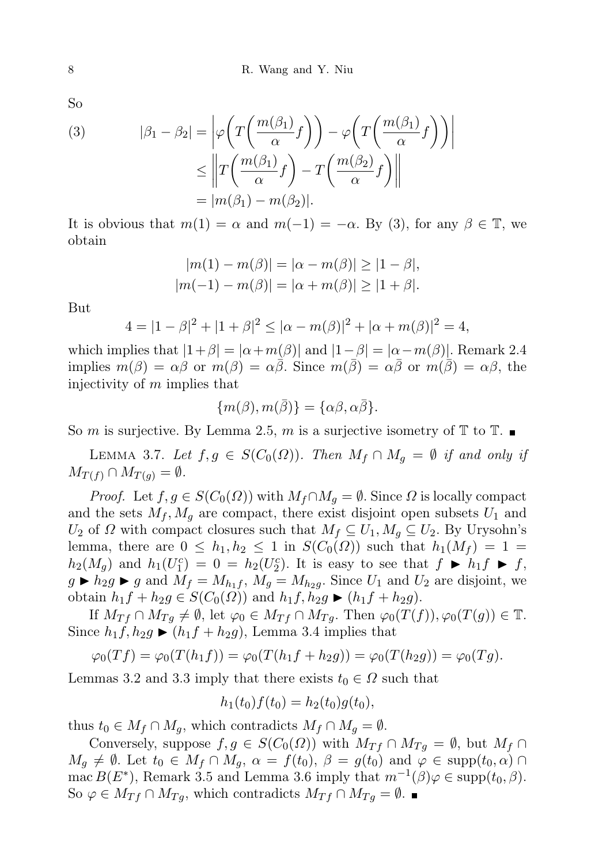So

(3) 
$$
|\beta_1 - \beta_2| = \left| \varphi \left( T \left( \frac{m(\beta_1)}{\alpha} f \right) \right) - \varphi \left( T \left( \frac{m(\beta_1)}{\alpha} f \right) \right) \right|
$$

$$
\leq \left\| T \left( \frac{m(\beta_1)}{\alpha} f \right) - T \left( \frac{m(\beta_2)}{\alpha} f \right) \right\|
$$

$$
= |m(\beta_1) - m(\beta_2)|.
$$

It is obvious that  $m(1) = \alpha$  and  $m(-1) = -\alpha$ . By (3), for any  $\beta \in \mathbb{T}$ , we obtain

$$
|m(1) - m(\beta)| = |\alpha - m(\beta)| \ge |1 - \beta|,
$$
  

$$
|m(-1) - m(\beta)| = |\alpha + m(\beta)| \ge |1 + \beta|.
$$

But

$$
4 = |1 - \beta|^2 + |1 + \beta|^2 \le |\alpha - m(\beta)|^2 + |\alpha + m(\beta)|^2 = 4,
$$

which implies that  $|1+\beta| = |\alpha+m(\beta)|$  and  $|1-\beta| = |\alpha-m(\beta)|$ . Remark 2.4 implies  $m(\beta) = \alpha \beta$  or  $m(\beta) = \alpha \overline{\beta}$ . Since  $m(\overline{\beta}) = \alpha \overline{\beta}$  or  $m(\overline{\beta}) = \alpha \beta$ , the injectivity of m implies that

$$
\{m(\beta), m(\bar{\beta})\} = \{\alpha\beta, \alpha\bar{\beta}\}.
$$

So m is surjective. By Lemma 2.5, m is a surjective isometry of  $\mathbb{T}$  to  $\mathbb{T}$ .

LEMMA 3.7. Let  $f, g \in S(C_0(\Omega))$ . Then  $M_f \cap M_g = \emptyset$  if and only if  $M_{T(f)} \cap M_{T(g)} = \emptyset.$ 

*Proof.* Let  $f, g \in S(C_0(\Omega))$  with  $M_f \cap M_g = \emptyset$ . Since  $\Omega$  is locally compact and the sets  $M_f$ ,  $M_g$  are compact, there exist disjoint open subsets  $U_1$  and  $U_2$  of  $\Omega$  with compact closures such that  $M_f \subseteq U_1, M_g \subseteq U_2$ . By Urysohn's lemma, there are  $0 \leq h_1, h_2 \leq 1$  in  $S(C_0(\Omega))$  such that  $h_1(M_f) = 1$  $h_2(M_g)$  and  $h_1(U_1^c) = 0 = h_2(U_2^c)$ . It is easy to see that  $f \blacktriangleright h_1 f \blacktriangleright f$ ,  $g \triangleright h_2 g \triangleright g$  and  $M_f = M_{h_1f}$ ,  $M_g = M_{h_2g}$ . Since  $U_1$  and  $U_2$  are disjoint, we obtain  $h_1 f + h_2 g \in S(C_0(\Omega))$  and  $h_1 f, h_2 g$  ►  $(h_1 f + h_2 g)$ .

If  $M_{Tf} \cap M_{Tg} \neq \emptyset$ , let  $\varphi_0 \in M_{Tf} \cap M_{Tg}$ . Then  $\varphi_0(T(f)), \varphi_0(T(g)) \in \mathbb{T}$ . Since  $h_1f$ ,  $h_2g \blacktriangleright (h_1f + h_2g)$ , Lemma 3.4 implies that

$$
\varphi_0(Tf) = \varphi_0(T(h_1f)) = \varphi_0(T(h_1f + h_2g)) = \varphi_0(T(h_2g)) = \varphi_0(Tg).
$$

Lemmas 3.2 and 3.3 imply that there exists  $t_0 \in \Omega$  such that

$$
h_1(t_0)f(t_0) = h_2(t_0)g(t_0),
$$

thus  $t_0 \in M_f \cap M_q$ , which contradicts  $M_f \cap M_q = \emptyset$ .

Conversely, suppose  $f, g \in S(C_0(\Omega))$  with  $M_{Tf} \cap M_{Tg} = \emptyset$ , but  $M_f \cap$  $M_q \neq \emptyset$ . Let  $t_0 \in M_f \cap M_q$ ,  $\alpha = f(t_0)$ ,  $\beta = g(t_0)$  and  $\varphi \in \text{supp}(t_0, \alpha) \cap$ mac  $B(E^*)$ , Remark 3.5 and Lemma 3.6 imply that  $m^{-1}(\beta)\varphi \in \text{supp}(t_0, \beta)$ . So  $\varphi \in M_{Tf} \cap M_{Tg}$ , which contradicts  $M_{Tf} \cap M_{Tg} = \emptyset$ .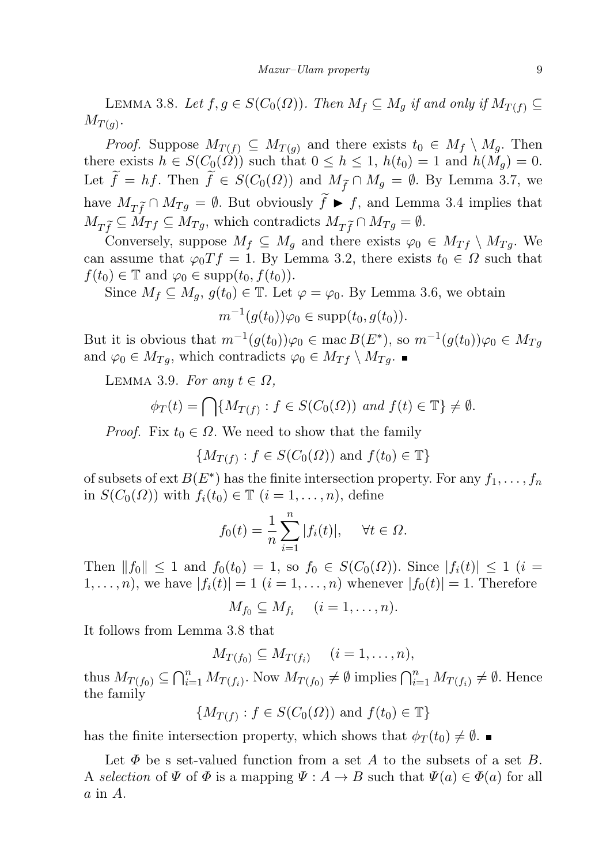LEMMA 3.8. Let  $f, g \in S(C_0(\Omega))$ . Then  $M_f \subseteq M_q$  if and only if  $M_{T(f)} \subseteq$  $M_{T(g)}$ .

*Proof.* Suppose  $M_{T(f)} \subseteq M_{T(g)}$  and there exists  $t_0 \in M_f \setminus M_g$ . Then there exists  $h \in S(C_0(\Omega))$  such that  $0 \leq h \leq 1$ ,  $h(t_0) = 1$  and  $h(M_q) = 0$ . Let  $\widetilde{f} = hf$ . Then  $\widetilde{f} \in S(C_0(\Omega))$  and  $M_{\widetilde{f}} \cap M_g = \emptyset$ . By Lemma 3.7, we have  $M_{T\tilde{f}} \cap M_{Tg} = \emptyset$ . But obviously  $\tilde{f} \blacktriangleright f$ , and Lemma 3.4 implies that  $M_{T\tilde{f}} \subseteq M_{Tf} \subseteq M_{Tg}$ , which contradicts  $M_{T\tilde{f}} \cap M_{Tg} = \emptyset$ .

Conversely, suppose  $M_f \subseteq M_g$  and there exists  $\varphi_0 \in M_{Tf} \setminus M_{Tg}$ . We can assume that  $\varphi_0 T f = 1$ . By Lemma 3.2, there exists  $t_0 \in \Omega$  such that  $f(t_0) \in \mathbb{T}$  and  $\varphi_0 \in \text{supp}(t_0, f(t_0)).$ 

Since  $M_f \subseteq M_g$ ,  $g(t_0) \in \mathbb{T}$ . Let  $\varphi = \varphi_0$ . By Lemma 3.6, we obtain

$$
m^{-1}(g(t_0))\varphi_0 \in \mathrm{supp}(t_0,g(t_0)).
$$

But it is obvious that  $m^{-1}(g(t_0))\varphi_0 \in \text{mac } B(E^*),$  so  $m^{-1}(g(t_0))\varphi_0 \in M_{Tg}$ and  $\varphi_0 \in M_{Tq}$ , which contradicts  $\varphi_0 \in M_{Tf} \setminus M_{Tq}$ .

LEMMA 3.9. For any  $t \in \Omega$ ,

$$
\phi_T(t) = \bigcap \{ M_{T(f)} : f \in S(C_0(\Omega)) \text{ and } f(t) \in \mathbb{T} \} \neq \emptyset.
$$

*Proof.* Fix  $t_0 \in \Omega$ . We need to show that the family

$$
\{M_{T(f)}: f \in S(C_0(\Omega)) \text{ and } f(t_0) \in \mathbb{T}\}\
$$

of subsets of ext  $B(E^*)$  has the finite intersection property. For any  $f_1, \ldots, f_n$ in  $S(C_0(\Omega))$  with  $f_i(t_0) \in \mathbb{T}$   $(i = 1, \ldots, n)$ , define

$$
f_0(t) = \frac{1}{n} \sum_{i=1}^n |f_i(t)|, \quad \forall t \in \Omega.
$$

Then  $||f_0|| \leq 1$  and  $f_0(t_0) = 1$ , so  $f_0 \in S(C_0(\Omega))$ . Since  $|f_i(t)| \leq 1$   $(i =$  $1, \ldots, n$ , we have  $|f_i(t)| = 1$   $(i = 1, \ldots, n)$  whenever  $|f_0(t)| = 1$ . Therefore

$$
M_{f_0}\subseteq M_{f_i} \quad (i=1,\ldots,n).
$$

It follows from Lemma 3.8 that

 $M_{T(f_0)} \subseteq M_{T(f_i)} \quad (i = 1, \ldots, n),$ 

thus  $M_{T(f_0)} \subseteq \bigcap_{i=1}^n M_{T(f_i)}$ . Now  $M_{T(f_0)} \neq \emptyset$  implies  $\bigcap_{i=1}^n M_{T(f_i)} \neq \emptyset$ . Hence the family

$$
\{M_{T(f)} : f \in S(C_0(\Omega)) \text{ and } f(t_0) \in \mathbb{T}\}\
$$

has the finite intersection property, which shows that  $\phi_T(t_0) \neq \emptyset$ .

Let  $\Phi$  be s set-valued function from a set A to the subsets of a set B. A selection of  $\Psi$  of  $\Phi$  is a mapping  $\Psi : A \to B$  such that  $\Psi(a) \in \Phi(a)$  for all  $a$  in  $A$ .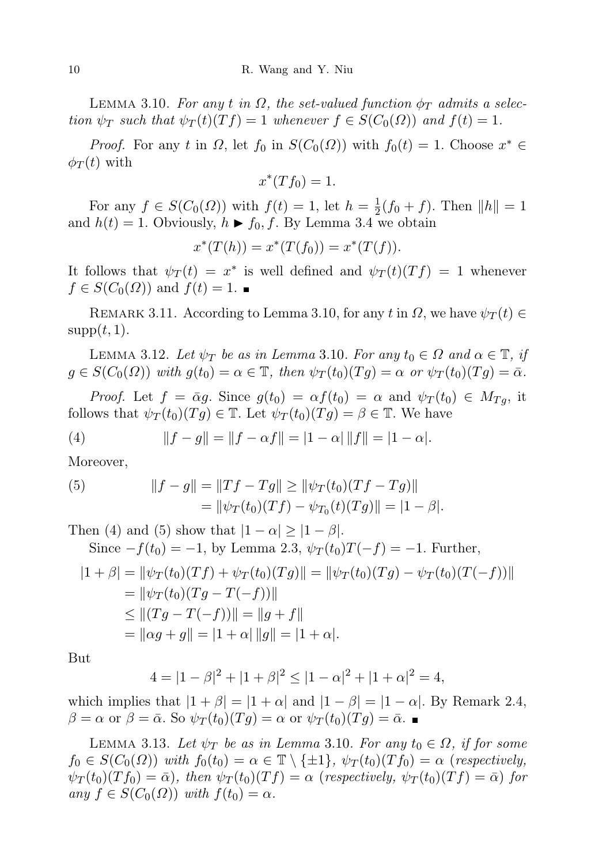LEMMA 3.10. For any t in  $\Omega$ , the set-valued function  $\phi_T$  admits a selection  $\psi_T$  such that  $\psi_T(t)(Tf) = 1$  whenever  $f \in S(C_0(\Omega))$  and  $f(t) = 1$ .

*Proof.* For any t in  $\Omega$ , let  $f_0$  in  $S(C_0(\Omega))$  with  $f_0(t) = 1$ . Choose  $x^* \in$  $\phi_T(t)$  with

$$
x^*(Tf_0) = 1.
$$

For any  $f \in S(C_0(\Omega))$  with  $f(t) = 1$ , let  $h = \frac{1}{2}$  $\frac{1}{2}(f_0 + f)$ . Then  $||h|| = 1$ and  $h(t) = 1$ . Obviously,  $h \blacktriangleright f_0, f$ . By Lemma 3.4 we obtain

$$
x^*(T(h)) = x^*(T(f_0)) = x^*(T(f)).
$$

It follows that  $\psi_T(t) = x^*$  is well defined and  $\psi_T(t)(Tf) = 1$  whenever  $f \in S(C_0(\Omega))$  and  $f(t) = 1$ .

REMARK 3.11. According to Lemma 3.10, for any t in  $\Omega$ , we have  $\psi_T(t) \in$  $supp(t, 1)$ .

LEMMA 3.12. Let  $\psi_T$  be as in Lemma 3.10. For any  $t_0 \in \Omega$  and  $\alpha \in \mathbb{T}$ , if  $g \in S(C_0(\Omega))$  with  $g(t_0) = \alpha \in \mathbb{T}$ , then  $\psi_T(t_0)(Tg) = \alpha$  or  $\psi_T(t_0)(Tg) = \bar{\alpha}$ .

*Proof.* Let  $f = \bar{\alpha}g$ . Since  $g(t_0) = \alpha f(t_0) = \alpha$  and  $\psi_T(t_0) \in M_{Tg}$ , it follows that  $\psi_T(t_0)(Tq) \in \mathbb{T}$ . Let  $\psi_T(t_0)(Tq) = \beta \in \mathbb{T}$ . We have

(4) 
$$
||f - g|| = ||f - \alpha f|| = |1 - \alpha| ||f|| = |1 - \alpha|.
$$

Moreover,

(5) 
$$
||f - g|| = ||Tf - Tg|| \ge ||\psi_T(t_0)(Tf - Tg)||
$$

$$
= ||\psi_T(t_0)(Tf) - \psi_{T_0}(t)(Tg)|| = |1 - \beta|.
$$

Then (4) and (5) show that  $|1 - \alpha| \geq |1 - \beta|$ .

Since 
$$
-f(t_0) = -1
$$
, by Lemma 2.3,  $\psi_T(t_0)T(-f) = -1$ . Further,  
\n
$$
|1 + \beta| = ||\psi_T(t_0)(Tf) + \psi_T(t_0)(Tg)|| = ||\psi_T(t_0)(Tg) - \psi_T(t_0)(T(-f))||
$$
\n
$$
= ||\psi_T(t_0)(Tg - T(-f))||
$$
\n
$$
\leq ||(Tg - T(-f))|| = ||g + f||
$$
\n
$$
= ||\alpha g + g|| = |1 + \alpha| ||g|| = |1 + \alpha|.
$$

But

$$
4 = |1 - \beta|^2 + |1 + \beta|^2 \le |1 - \alpha|^2 + |1 + \alpha|^2 = 4,
$$

which implies that  $|1 + \beta| = |1 + \alpha|$  and  $|1 - \beta| = |1 - \alpha|$ . By Remark 2.4,  $\beta = \alpha$  or  $\beta = \bar{\alpha}$ . So  $\psi_T(t_0)(T_g) = \alpha$  or  $\psi_T(t_0)(T_g) = \bar{\alpha}$ .

LEMMA 3.13. Let  $\psi_T$  be as in Lemma 3.10. For any  $t_0 \in \Omega$ , if for some  $f_0 \in S(C_0(\Omega))$  with  $f_0(t_0) = \alpha \in \mathbb{T} \setminus \{\pm 1\}, \ \psi_T(t_0)(Tf_0) = \alpha$  (respectively,  $\psi_T(t_0)(Tf_0) = \bar{\alpha}$ , then  $\psi_T(t_0)(Tf) = \alpha$  (respectively,  $\psi_T(t_0)(Tf) = \bar{\alpha}$ ) for any  $f \in S(C_0(\Omega))$  with  $f(t_0) = \alpha$ .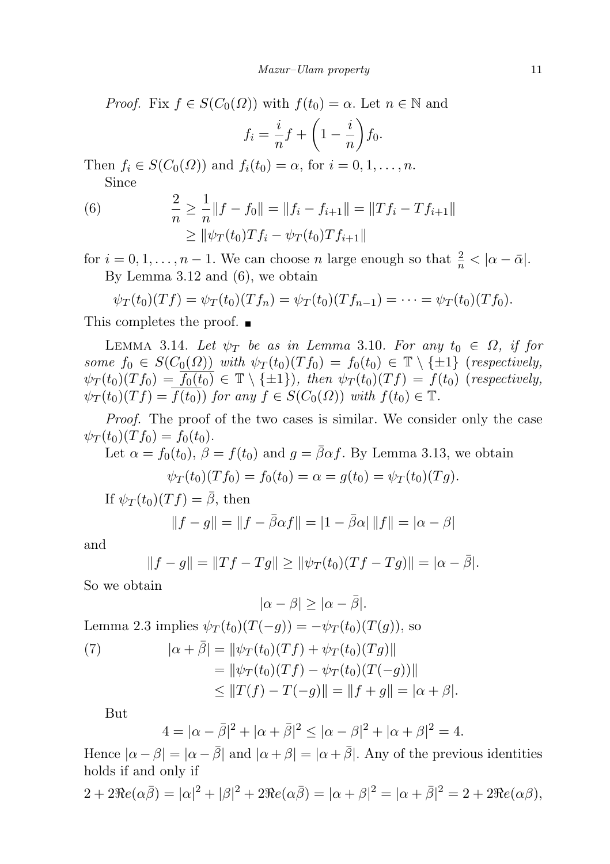*Proof.* Fix  $f \in S(C_0(\Omega))$  with  $f(t_0) = \alpha$ . Let  $n \in \mathbb{N}$  and

$$
f_i = \frac{i}{n}f + \left(1 - \frac{i}{n}\right)f_0.
$$

Then  $f_i \in S(C_0(\Omega))$  and  $f_i(t_0) = \alpha$ , for  $i = 0, 1, \ldots, n$ . Since

2  $\frac{2}{n} \geq \frac{1}{n}$ (6)  $\frac{2}{n} \geq \frac{1}{n} \|f - f_0\| = \|f_i - f_{i+1}\| = \|Tf_i - Tf_{i+1}\|$  $> ||\psi_T (t_0) T f_i - \psi_T (t_0) T f_{i+1}||$ 

for  $i = 0, 1, \ldots, n - 1$ . We can choose n large enough so that  $\frac{2}{n} < |\alpha - \bar{\alpha}|$ . By Lemma 3.12 and (6), we obtain

$$
\psi_T(t_0)(Tf) = \psi_T(t_0)(Tf_n) = \psi_T(t_0)(Tf_{n-1}) = \cdots = \psi_T(t_0)(Tf_0).
$$

This completes the proof. ■

LEMMA 3.14. Let  $\psi_T$  be as in Lemma 3.10. For any  $t_0 \in \Omega$ , if for some  $f_0 \in S(C_0(\Omega))$  with  $\psi_T(t_0)(Tf_0) = f_0(t_0) \in \mathbb{T} \setminus \{\pm 1\}$  (respectively,  $\psi_T(t_0)(Tf_0) = \overline{f_0(t_0)} \in \mathbb{T} \setminus {\pm 1}$ , then  $\psi_T(t_0)(Tf) = f(t_0)$  (respectively,  $\psi_T(t_0)(Tf) = \overline{f(t_0)}$  for any  $f \in S(C_0(\Omega))$  with  $f(t_0) \in \mathbb{T}$ .

Proof. The proof of the two cases is similar. We consider only the case  $\psi_T(t_0)(T f_0) = f_0(t_0).$ 

Let  $\alpha = f_0(t_0)$ ,  $\beta = f(t_0)$  and  $g = \overline{\beta} \alpha f$ . By Lemma 3.13, we obtain  $\psi_{\text{eff}}(t)$  (T f ) = f(t) = a = g(t) =  $\psi_{\text{eff}}(t)$  (T g).

$$
\psi_T(t_0)(Tf_0) = f_0(t_0) = \alpha = g(t_0) = \psi_T(t_0)(Tg).
$$

If  $\psi_T(t_0)(Tf) = \overline{\beta}$ , then

$$
||f - g|| = ||f - \bar{\beta}\alpha f|| = |1 - \bar{\beta}\alpha| ||f|| = |\alpha - \beta|
$$

and

$$
||f - g|| = ||Tf - Tg|| \ge ||\psi_T(t_0)(Tf - Tg)|| = |\alpha - \overline{\beta}|.
$$

So we obtain

$$
|\alpha - \beta| \ge |\alpha - \overline{\beta}|.
$$

Lemma 2.3 implies  $\psi_T(t_0)(T(-g)) = -\psi_T(t_0)(T(g))$ , so

(7) 
$$
|\alpha + \bar{\beta}| = ||\psi_T(t_0)(Tf) + \psi_T(t_0)(Tg)||
$$

$$
= ||\psi_T(t_0)(Tf) - \psi_T(t_0)(T(-g))||
$$

$$
\leq ||T(f) - T(-g)|| = ||f + g|| = |\alpha + \beta|.
$$

But

$$
4 = |\alpha - \bar{\beta}|^2 + |\alpha + \bar{\beta}|^2 \le |\alpha - \beta|^2 + |\alpha + \beta|^2 = 4.
$$

Hence  $|\alpha - \beta| = |\alpha - \bar{\beta}|$  and  $|\alpha + \beta| = |\alpha + \bar{\beta}|$ . Any of the previous identities holds if and only if

$$
2 + 2\Re e(\alpha \bar{\beta}) = |\alpha|^2 + |\beta|^2 + 2\Re e(\alpha \bar{\beta}) = |\alpha + \beta|^2 = |\alpha + \bar{\beta}|^2 = 2 + 2\Re e(\alpha \beta),
$$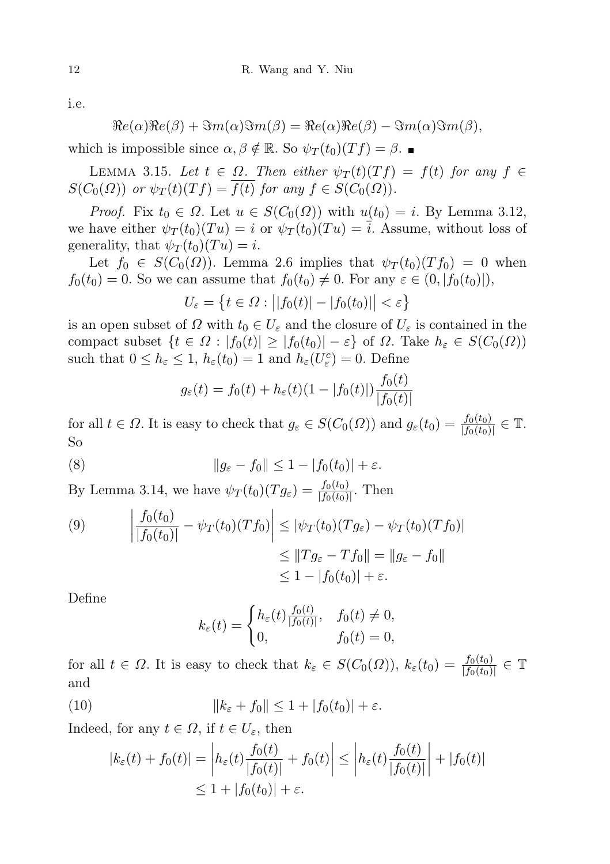i.e.

$$
\Re e(\alpha)\Re e(\beta) + \Im m(\alpha)\Im m(\beta) = \Re e(\alpha)\Re e(\beta) - \Im m(\alpha)\Im m(\beta),
$$

which is impossible since  $\alpha, \beta \notin \mathbb{R}$ . So  $\psi_T(t_0)(Tf) = \beta$ .

LEMMA 3.15. Let  $t \in \Omega$ . Then either  $\psi_T(t)(Tf) = f(t)$  for any  $f \in$  $S(C_0(\Omega))$  or  $\psi_T(t)(Tf) = \overline{f(t)}$  for any  $f \in S(C_0(\Omega)).$ 

*Proof.* Fix  $t_0 \in \Omega$ . Let  $u \in S(C_0(\Omega))$  with  $u(t_0) = i$ . By Lemma 3.12, we have either  $\psi_T(t_0)(Tu) = i$  or  $\psi_T(t_0)(Tu) = \overline{i}$ . Assume, without loss of generality, that  $\psi_T(t_0)(Tu) = i$ .

Let  $f_0 \in S(C_0(\Omega))$ . Lemma 2.6 implies that  $\psi_T(t_0)(Tf_0) = 0$  when  $f_0(t_0) = 0$ . So we can assume that  $f_0(t_0) \neq 0$ . For any  $\varepsilon \in (0, |f_0(t_0)|)$ ,

$$
U_{\varepsilon} = \left\{ t \in \Omega : \left| |f_0(t)| - |f_0(t_0)| \right| < \varepsilon \right\}
$$

is an open subset of  $\Omega$  with  $t_0 \in U_{\varepsilon}$  and the closure of  $U_{\varepsilon}$  is contained in the compact subset  $\{t \in \Omega : |f_0(t)| \geq |f_0(t_0)| - \varepsilon\}$  of  $\Omega$ . Take  $h_{\varepsilon} \in S(C_0(\Omega))$ such that  $0 \leq h_{\varepsilon} \leq 1$ ,  $h_{\varepsilon}(t_0) = 1$  and  $h_{\varepsilon}(U_{\varepsilon}^c) = 0$ . Define

$$
g_{\varepsilon}(t) = f_0(t) + h_{\varepsilon}(t)(1 - |f_0(t)|) \frac{f_0(t)}{|f_0(t)|}
$$

for all  $t \in \Omega$ . It is easy to check that  $g_{\varepsilon} \in S(C_0(\Omega))$  and  $g_{\varepsilon}(t_0) = \frac{f_0(t_0)}{|f_0(t_0)|} \in \mathbb{T}$ . So

(8) 
$$
||g_{\varepsilon}-f_0|| \leq 1 - |f_0(t_0)| + \varepsilon.
$$

By Lemma 3.14, we have  $\psi_T(t_0)(Tg_\varepsilon) = \frac{f_0(t_0)}{|f_0(t_0)|}$ . Then

(9) 
$$
\left| \frac{f_0(t_0)}{|f_0(t_0)|} - \psi_T(t_0)(Tf_0) \right| \leq |\psi_T(t_0)(Tg_{\varepsilon}) - \psi_T(t_0)(Tf_0)|
$$

$$
\leq \|Tg_{\varepsilon} - Tf_0\| = \|g_{\varepsilon} - f_0\|
$$

$$
\leq 1 - |f_0(t_0)| + \varepsilon.
$$

Define

$$
k_{\varepsilon}(t) = \begin{cases} h_{\varepsilon}(t) \frac{f_0(t)}{|f_0(t)|}, & f_0(t) \neq 0, \\ 0, & f_0(t) = 0, \end{cases}
$$

for all  $t \in \Omega$ . It is easy to check that  $k_{\varepsilon} \in S(C_0(\Omega))$ ,  $k_{\varepsilon}(t_0) = \frac{f_0(t_0)}{|f_0(t_0)|} \in \mathbb{T}$ and

(10) 
$$
||k_{\varepsilon} + f_0|| \leq 1 + |f_0(t_0)| + \varepsilon.
$$

Indeed, for any  $t \in \Omega$ , if  $t \in U_{\varepsilon}$ , then

$$
|k_{\varepsilon}(t) + f_0(t)| = \left| h_{\varepsilon}(t) \frac{f_0(t)}{|f_0(t)|} + f_0(t) \right| \le \left| h_{\varepsilon}(t) \frac{f_0(t)}{|f_0(t)|} \right| + |f_0(t)|
$$
  

$$
\le 1 + |f_0(t_0)| + \varepsilon.
$$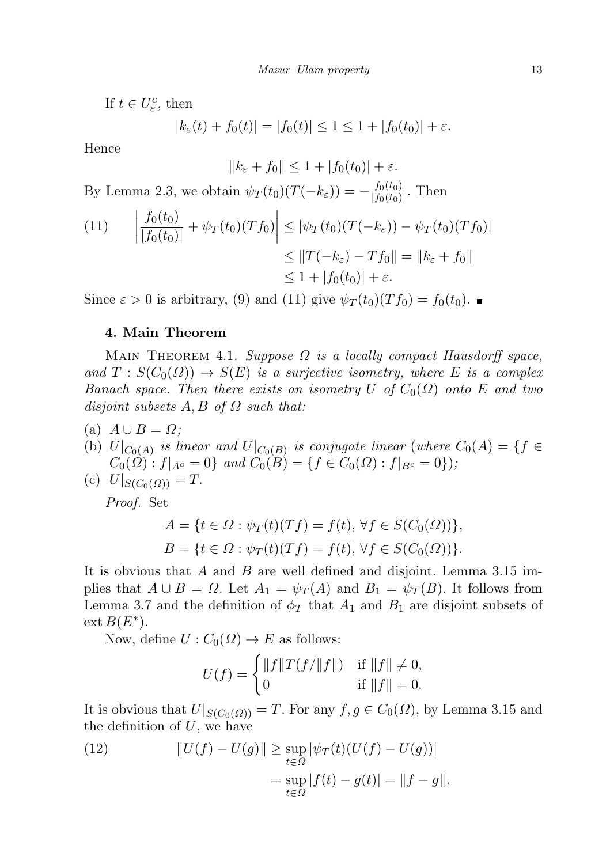If  $t \in U_{\varepsilon}^c$ , then

 $|k_{\varepsilon}(t) + f_0(t)| = |f_0(t)| \leq 1 \leq 1 + |f_0(t_0)| + \varepsilon.$ 

Hence

$$
||k_{\varepsilon} + f_0|| \le 1 + |f_0(t_0)| + \varepsilon.
$$

By Lemma 2.3, we obtain  $\psi_T(t_0)(T(-k_{\varepsilon})) = -\frac{f_0(t_0)}{f_0(t_0)}$  $\frac{J_0(t_0)}{|f_0(t_0)|}$ . Then

(11) 
$$
\left| \frac{f_0(t_0)}{|f_0(t_0)|} + \psi_T(t_0)(Tf_0) \right| \leq |\psi_T(t_0)(T(-k_{\varepsilon})) - \psi_T(t_0)(Tf_0)|
$$

$$
\leq \|T(-k_{\varepsilon}) - Tf_0\| = \|k_{\varepsilon} + f_0\|
$$

$$
\leq 1 + |f_0(t_0)| + \varepsilon.
$$

Since  $\varepsilon > 0$  is arbitrary, (9) and (11) give  $\psi_T(t_0)(Tf_0) = f_0(t_0)$ .

## 4. Main Theorem

MAIN THEOREM 4.1. Suppose  $\Omega$  is a locally compact Hausdorff space, and  $T : S(C_0(\Omega)) \to S(E)$  is a surjective isometry, where E is a complex Banach space. Then there exists an isometry U of  $C_0(\Omega)$  onto E and two disjoint subsets  $A, B$  of  $\Omega$  such that:

- (a)  $A \cup B = \Omega$ ;
- (b)  $U|_{C_0(A)}$  is linear and  $U|_{C_0(B)}$  is conjugate linear (where  $C_0(A) = \{f \in$  $C_0(\Omega) : f|_{A^c} = 0$  and  $C_0(B) = \{f \in C_0(\Omega) : f|_{B^c} = 0\}$ ;

(c) 
$$
U|_{S(C_0(\Omega))} = T
$$
.

Proof. Set

$$
A = \{t \in \Omega : \psi_T(t)(Tf) = f(t), \forall f \in S(C_0(\Omega))\},\
$$
  

$$
B = \{t \in \Omega : \psi_T(t)(Tf) = \overline{f(t)}, \forall f \in S(C_0(\Omega))\}.
$$

It is obvious that A and B are well defined and disjoint. Lemma  $3.15 \text{ im}$ plies that  $A \cup B = \Omega$ . Let  $A_1 = \psi_T(A)$  and  $B_1 = \psi_T(B)$ . It follows from Lemma 3.7 and the definition of  $\phi_T$  that  $A_1$  and  $B_1$  are disjoint subsets of  $ext B(E^*).$ 

Now, define  $U: C_0(\Omega) \to E$  as follows:

$$
U(f) = \begin{cases} ||f||T(f/||f||) & \text{if } ||f|| \neq 0, \\ 0 & \text{if } ||f|| = 0. \end{cases}
$$

It is obvious that  $U|_{S(C_0(\Omega))} = T$ . For any  $f, g \in C_0(\Omega)$ , by Lemma 3.15 and the definition of  $U$ , we have

(12) 
$$
||U(f) - U(g)|| \ge \sup_{t \in \Omega} |\psi_T(t)(U(f) - U(g))|
$$

$$
= \sup_{t \in \Omega} |f(t) - g(t)| = ||f - g||.
$$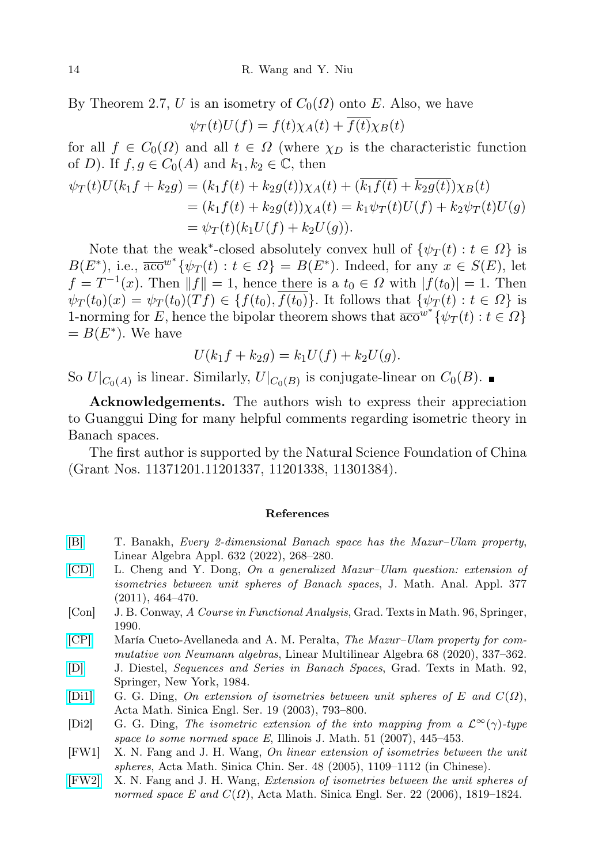By Theorem 2.7, U is an isometry of  $C_0(\Omega)$  onto E. Also, we have  $\psi_T(t)U(f) = f(t)\chi_A(t) + \overline{f(t)}\chi_B(t)$ 

for all  $f \in C_0(\Omega)$  and all  $t \in \Omega$  (where  $\chi_D$  is the characteristic function of D). If  $f, g \in C_0(A)$  and  $k_1, k_2 \in \mathbb{C}$ , then

$$
\psi_T(t)U(k_1f + k_2g) = (k_1f(t) + k_2g(t))\chi_A(t) + (k_1f(t) + k_2g(t))\chi_B(t)
$$
  
=  $(k_1f(t) + k_2g(t))\chi_A(t) = k_1\psi_T(t)U(f) + k_2\psi_T(t)U(g)$   
=  $\psi_T(t)(k_1U(f) + k_2U(g)).$ 

Note that the weak<sup>\*</sup>-closed absolutely convex hull of  $\{\psi_T(t): t \in \Omega\}$  is  $B(E^*)$ , i.e.,  $\overline{a_{\rm CO}}^{w^*} \{ \psi_T(t) : t \in \Omega \} = B(E^*)$ . Indeed, for any  $x \in S(E)$ , let  $f = T^{-1}(x)$ . Then  $||f|| = 1$ , hence there is a  $t_0 \in \Omega$  with  $|f(t_0)| = 1$ . Then  $\psi_T(t_0)(x) = \psi_T(t_0)(Tf) \in \{f(t_0), \overline{f(t_0)}\}$ . It follows that  $\{\psi_T(t) : t \in \Omega\}$  is 1-norming for E, hence the bipolar theorem shows that  $\overline{a_{\mathbf{c}\mathbf{o}}}^{w^*} \{ \psi_T(t) : t \in \Omega \}$  $= B(E^*)$ . We have

$$
U(k_1 f + k_2 g) = k_1 U(f) + k_2 U(g).
$$

So  $U|_{C_0(A)}$  is linear. Similarly,  $U|_{C_0(B)}$  is conjugate-linear on  $C_0(B)$ .

Acknowledgements. The authors wish to express their appreciation to Guanggui Ding for many helpful comments regarding isometric theory in Banach spaces.

The first author is supported by the Natural Science Foundation of China (Grant Nos. 11371201.11201337, 11201338, 11301384).

## References

- <span id="page-13-2"></span>[\[B\]](http://dx.doi.org/10.1016/j.laa.2021.09.020) T. Banakh, Every 2-dimensional Banach space has the Mazur–Ulam property, Linear Algebra Appl. 632 (2022), 268–280.
- <span id="page-13-4"></span>[\[CD\]](http://dx.doi.org/10.1016/j.jmaa.2010.11.025) L. Cheng and Y. Dong, On a generalized Mazur–Ulam question: extension of isometries between unit spheres of Banach spaces, J. Math. Anal. Appl. 377 (2011), 464–470.
- <span id="page-13-3"></span>[Con] J. B. Conway, A Course in Functional Analysis, Grad. Texts in Math. 96, Springer, 1990.
- <span id="page-13-1"></span>[\[CP\]](http://dx.doi.org/10.1080/03081087.2018.1505823) María Cueto-Avellaneda and A. M. Peralta, The Mazur–Ulam property for commutative von Neumann algebras, Linear Multilinear Algebra 68 (2020), 337–362.
- <span id="page-13-0"></span>[\[D\]](http://dx.doi.org/10.1007/978-1-4612-5200-9) J. Diestel, Sequences and Series in Banach Spaces, Grad. Texts in Math. 92, Springer, New York, 1984.
- <span id="page-13-5"></span>[\[Di1\]](http://dx.doi.org/10.1007/s10114-003-0240-z) G. G. Ding, On extension of isometries between unit spheres of E and  $C(\Omega)$ , Acta Math. Sinica Engl. Ser. 19 (2003), 793–800.
- <span id="page-13-8"></span>[Di2] G. G. Ding, The isometric extension of the into mapping from a  $\mathcal{L}^{\infty}(\gamma)$ -type space to some normed space E, Illinois J. Math.  $51$  (2007), 445–453.
- <span id="page-13-6"></span>[FW1] X. N. Fang and J. H. Wang, On linear extension of isometries between the unit spheres, Acta Math. Sinica Chin. Ser. 48 (2005), 1109–1112 (in Chinese).
- <span id="page-13-7"></span>[\[FW2\]](http://dx.doi.org/10.1007/s10114-005-0725-z) X. N. Fang and J. H. Wang, Extension of isometries between the unit spheres of normed space E and  $C(\Omega)$ , Acta Math. Sinica Engl. Ser. 22 (2006), 1819–1824.